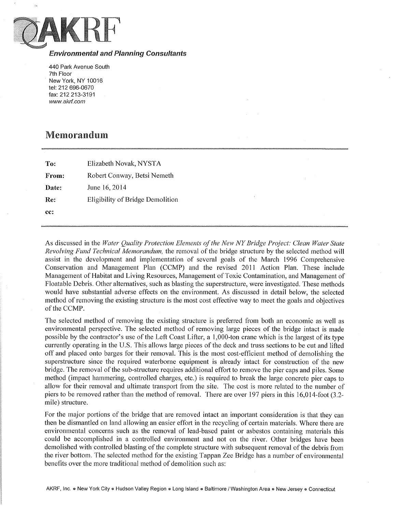

## Environmental and Planning Consultants

440 Park Avenue South 7th Floor New York, NY 10016 tel: 212 696-0670 fax: 212 213-3191 www.akrf.com

## Memorandum

| To:   | Elizabeth Novak, NYSTA           |
|-------|----------------------------------|
| From: | Robert Conway, Betsi Nemeth      |
| Date: | June 16, 2014                    |
| Re:   | Eligibility of Bridge Demolition |
| cc:   |                                  |

As discussed in the *Water Quality Protection Elements of the New NY Bridge Project: Clean Water State Revolving Fund Technical Memorandum,* the removal of the bridge structure by the selected method will assist in the development and implementation of several goals of the March 1996 Comprehensive Conservation and Management Plan (CCMP) and the revised 2011 Action Plan. These include Management of Habitat and Living Resources, Management of Toxic Contamination, and Management of Floatable Debris. Other alternatives, such as blasting the superstructure, were investigated. These methods would have substantial adverse effects on the environment. As discussed in detail below, the selected method of removing the existing structure is the most cost effective way to meet the goals and objectives of the CCMP.

The selected method of removing the existing structure is preferred from both an economic as well as environmental perspective. The selected method of removing large pieces of the bridge intact is made possible by the contractor's use of the Left Coast Lifter, a 1,000-ton crane which is the largest of its type currently operating in the U.S. This allows large pieces of the deck and truss sections to be cut and lifted off and placed onto barges for their removal. This is the most cost-efficient method of demolishing the superstructure since the required waterborne equipment is already intact for construction of the new bridge. The removal of the sub-structure requires additional effort to remove the pier caps and piles. Some method (impact hammering, controlled charges, etc.) is required to break the large concrete pier caps to allow for their removal and ultimate transport from the site. The cost is more related to the number of piers to be removed rather than the method of removal. There are over 197 piers in this 16,014-foot (3.2 mile) structure.

For the major portions of the bridge that are removed intact an important consideration is that they can then be dismantled on land allowing an easier effort in the recycling of certain materials. Where there are environmental concerns such as the removal of lead-based paint or asbestos containing materials this could be accomplished in a controlled environment and not on the river. Other bridges have been demolished with controlled blasting of the complete structure with subsequent removal of the debris from the river bottom. The selected method for the existing Tappan Zee Bridge has a number of environmental benefits over the more traditional method of demolition such as: